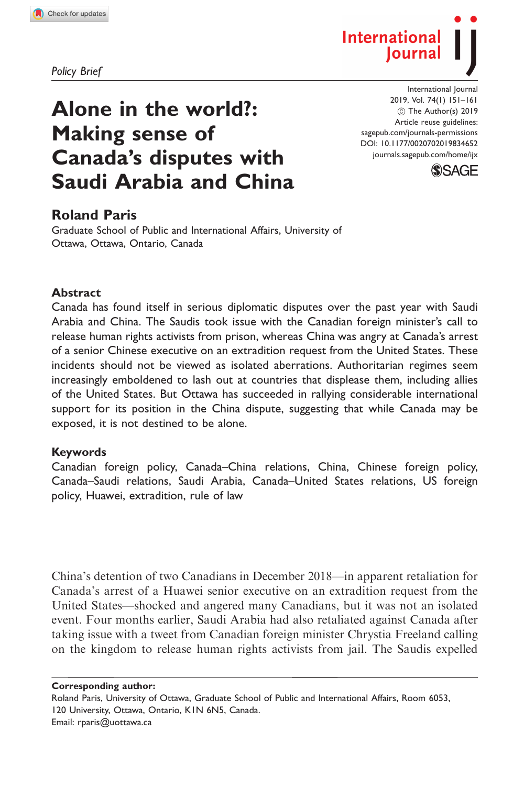Policy Brief

# International **lourna**

# Alone in the world?: Making sense of Canada's disputes with Saudi Arabia and China

International Journal 2019, Vol. 74(1) 151–161 ! The Author(s) 2019 Article reuse guidelines: [sagepub.com/journals-permissions](https://uk.sagepub.com/en-gb/journals-permissions) DOI: [10.1177/0020702019834652](https://doi.org/10.1177/0020702019834652) <journals.sagepub.com/home/ijx>



# Roland Paris

Graduate School of Public and International Affairs, University of Ottawa, Ottawa, Ontario, Canada

#### **Abstract**

Canada has found itself in serious diplomatic disputes over the past year with Saudi Arabia and China. The Saudis took issue with the Canadian foreign minister's call to release human rights activists from prison, whereas China was angry at Canada's arrest of a senior Chinese executive on an extradition request from the United States. These incidents should not be viewed as isolated aberrations. Authoritarian regimes seem increasingly emboldened to lash out at countries that displease them, including allies of the United States. But Ottawa has succeeded in rallying considerable international support for its position in the China dispute, suggesting that while Canada may be exposed, it is not destined to be alone.

#### Keywords

Canadian foreign policy, Canada–China relations, China, Chinese foreign policy, Canada–Saudi relations, Saudi Arabia, Canada–United States relations, US foreign policy, Huawei, extradition, rule of law

China's detention of two Canadians in December 2018—in apparent retaliation for Canada's arrest of a Huawei senior executive on an extradition request from the United States—shocked and angered many Canadians, but it was not an isolated event. Four months earlier, Saudi Arabia had also retaliated against Canada after taking issue with a tweet from Canadian foreign minister Chrystia Freeland calling on the kingdom to release human rights activists from jail. The Saudis expelled

Corresponding author:

Roland Paris, University of Ottawa, Graduate School of Public and International Affairs, Room 6053, 120 University, Ottawa, Ontario, K1N 6N5, Canada. Email: rparis@uottawa.ca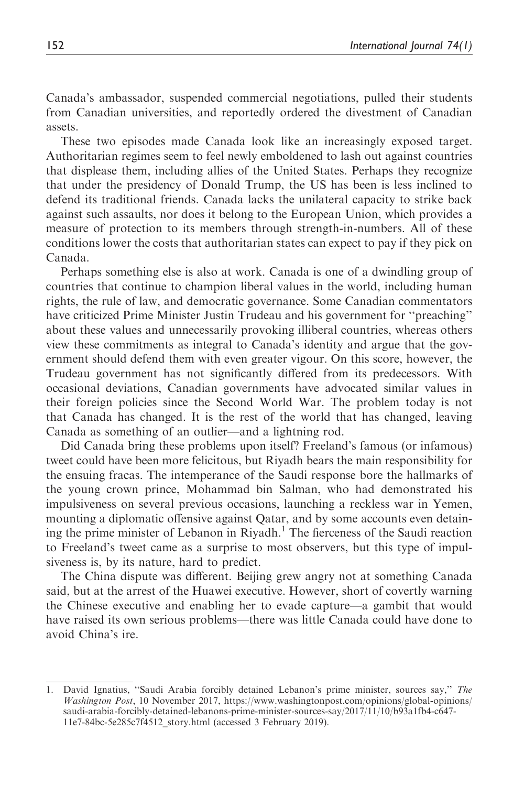Canada's ambassador, suspended commercial negotiations, pulled their students from Canadian universities, and reportedly ordered the divestment of Canadian assets.

These two episodes made Canada look like an increasingly exposed target. Authoritarian regimes seem to feel newly emboldened to lash out against countries that displease them, including allies of the United States. Perhaps they recognize that under the presidency of Donald Trump, the US has been is less inclined to defend its traditional friends. Canada lacks the unilateral capacity to strike back against such assaults, nor does it belong to the European Union, which provides a measure of protection to its members through strength-in-numbers. All of these conditions lower the costs that authoritarian states can expect to pay if they pick on Canada.

Perhaps something else is also at work. Canada is one of a dwindling group of countries that continue to champion liberal values in the world, including human rights, the rule of law, and democratic governance. Some Canadian commentators have criticized Prime Minister Justin Trudeau and his government for ''preaching'' about these values and unnecessarily provoking illiberal countries, whereas others view these commitments as integral to Canada's identity and argue that the government should defend them with even greater vigour. On this score, however, the Trudeau government has not significantly differed from its predecessors. With occasional deviations, Canadian governments have advocated similar values in their foreign policies since the Second World War. The problem today is not that Canada has changed. It is the rest of the world that has changed, leaving Canada as something of an outlier—and a lightning rod.

Did Canada bring these problems upon itself? Freeland's famous (or infamous) tweet could have been more felicitous, but Riyadh bears the main responsibility for the ensuing fracas. The intemperance of the Saudi response bore the hallmarks of the young crown prince, Mohammad bin Salman, who had demonstrated his impulsiveness on several previous occasions, launching a reckless war in Yemen, mounting a diplomatic offensive against Qatar, and by some accounts even detaining the prime minister of Lebanon in Riyadh.<sup>1</sup> The fierceness of the Saudi reaction to Freeland's tweet came as a surprise to most observers, but this type of impulsiveness is, by its nature, hard to predict.

The China dispute was different. Beijing grew angry not at something Canada said, but at the arrest of the Huawei executive. However, short of covertly warning the Chinese executive and enabling her to evade capture—a gambit that would have raised its own serious problems—there was little Canada could have done to avoid China's ire.

<sup>1.</sup> David Ignatius, ''Saudi Arabia forcibly detained Lebanon's prime minister, sources say,'' The Washington Post, 10 November 2017, [https://www.washingtonpost.com/opinions/global-opinions/](https://www.washingtonpost.com/opinions/global-opinions/saudi-arabia-forcibly-detained-lebanons-prime-minister-sources-say/2017/11/10/b93a1fb4-c647-11e7-84bc-5e285c7f4512_story.html) [saudi-arabia-forcibly-detained-lebanons-prime-minister-sources-say/2017/11/10/b93a1fb4-c647-](https://www.washingtonpost.com/opinions/global-opinions/saudi-arabia-forcibly-detained-lebanons-prime-minister-sources-say/2017/11/10/b93a1fb4-c647-11e7-84bc-5e285c7f4512_story.html) [11e7-84bc-5e285c7f4512\\_story.html](https://www.washingtonpost.com/opinions/global-opinions/saudi-arabia-forcibly-detained-lebanons-prime-minister-sources-say/2017/11/10/b93a1fb4-c647-11e7-84bc-5e285c7f4512_story.html) (accessed 3 February 2019).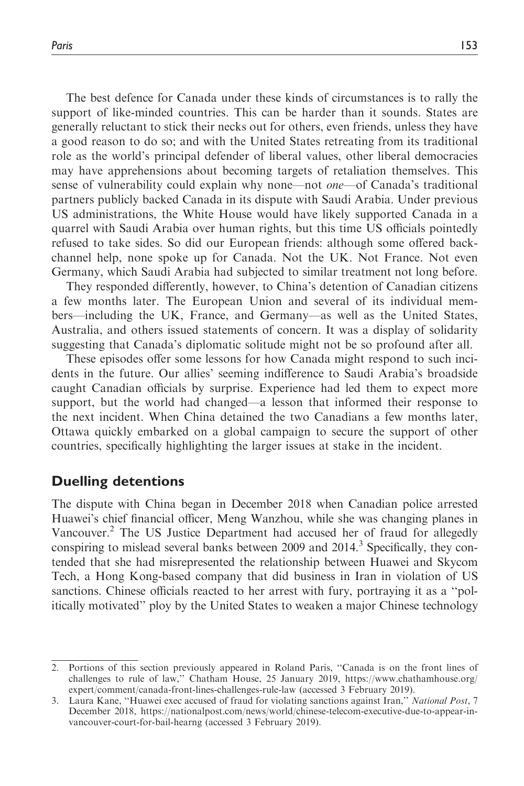The best defence for Canada under these kinds of circumstances is to rally the support of like-minded countries. This can be harder than it sounds. States are generally reluctant to stick their necks out for others, even friends, unless they have a good reason to do so; and with the United States retreating from its traditional role as the world's principal defender of liberal values, other liberal democracies may have apprehensions about becoming targets of retaliation themselves. This sense of vulnerability could explain why none—not one—of Canada's traditional partners publicly backed Canada in its dispute with Saudi Arabia. Under previous US administrations, the White House would have likely supported Canada in a quarrel with Saudi Arabia over human rights, but this time US officials pointedly refused to take sides. So did our European friends: although some offered backchannel help, none spoke up for Canada. Not the UK. Not France. Not even Germany, which Saudi Arabia had subjected to similar treatment not long before.

They responded differently, however, to China's detention of Canadian citizens a few months later. The European Union and several of its individual members—including the UK, France, and Germany—as well as the United States, Australia, and others issued statements of concern. It was a display of solidarity suggesting that Canada's diplomatic solitude might not be so profound after all.

These episodes offer some lessons for how Canada might respond to such incidents in the future. Our allies' seeming indifference to Saudi Arabia's broadside caught Canadian officials by surprise. Experience had led them to expect more support, but the world had changed—a lesson that informed their response to the next incident. When China detained the two Canadians a few months later, Ottawa quickly embarked on a global campaign to secure the support of other countries, specifically highlighting the larger issues at stake in the incident.

# Duelling detentions

The dispute with China began in December 2018 when Canadian police arrested Huawei's chief financial officer, Meng Wanzhou, while she was changing planes in Vancouver.<sup>2</sup> The US Justice Department had accused her of fraud for allegedly conspiring to mislead several banks between 2009 and 2014.3 Specifically, they contended that she had misrepresented the relationship between Huawei and Skycom Tech, a Hong Kong-based company that did business in Iran in violation of US sanctions. Chinese officials reacted to her arrest with fury, portraying it as a ''politically motivated'' ploy by the United States to weaken a major Chinese technology

<sup>2.</sup> Portions of this section previously appeared in Roland Paris, ''Canada is on the front lines of challenges to rule of law,'' Chatham House, 25 January 2019, [https://www.chathamhouse.org/](https://www.chathamhouse.org/expert/comment/canada-front-lines-challenges-rule-law) [expert/comment/canada-front-lines-challenges-rule-law](https://www.chathamhouse.org/expert/comment/canada-front-lines-challenges-rule-law) (accessed 3 February 2019).

<sup>3.</sup> Laura Kane, "Huawei exec accused of fraud for violating sanctions against Iran," National Post, 7 December 2018, [https://nationalpost.com/news/world/chinese-telecom-executive-due-to-appear-in](https://nationalpost.com/news/world/chinese-telecom-executive-due-to-appear-in-vancouver-court-for-bail-hearng)[vancouver-court-for-bail-hearng](https://nationalpost.com/news/world/chinese-telecom-executive-due-to-appear-in-vancouver-court-for-bail-hearng) (accessed 3 February 2019).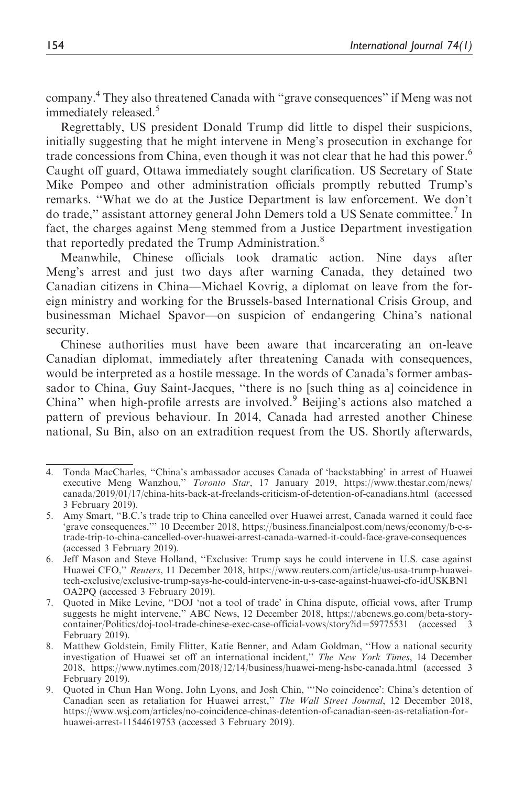company.4 They also threatened Canada with ''grave consequences'' if Meng was not immediately released.<sup>5</sup>

Regrettably, US president Donald Trump did little to dispel their suspicions, initially suggesting that he might intervene in Meng's prosecution in exchange for trade concessions from China, even though it was not clear that he had this power.<sup>6</sup> Caught off guard, Ottawa immediately sought clarification. US Secretary of State Mike Pompeo and other administration officials promptly rebutted Trump's remarks. ''What we do at the Justice Department is law enforcement. We don't do trade,'' assistant attorney general John Demers told a US Senate committee.<sup>7</sup> In fact, the charges against Meng stemmed from a Justice Department investigation that reportedly predated the Trump Administration.<sup>8</sup>

Meanwhile, Chinese officials took dramatic action. Nine days after Meng's arrest and just two days after warning Canada, they detained two Canadian citizens in China—Michael Kovrig, a diplomat on leave from the foreign ministry and working for the Brussels-based International Crisis Group, and businessman Michael Spavor—on suspicion of endangering China's national security.

Chinese authorities must have been aware that incarcerating an on-leave Canadian diplomat, immediately after threatening Canada with consequences, would be interpreted as a hostile message. In the words of Canada's former ambassador to China, Guy Saint-Jacques, ''there is no [such thing as a] coincidence in China'' when high-profile arrests are involved.<sup>9</sup> Beijing's actions also matched a pattern of previous behaviour. In 2014, Canada had arrested another Chinese national, Su Bin, also on an extradition request from the US. Shortly afterwards,

<sup>4.</sup> Tonda MacCharles, ''China's ambassador accuses Canada of 'backstabbing' in arrest of Huawei executive Meng Wanzhou," Toronto Star, 17 January 2019, [https://www.thestar.com/news/](https://www.thestar.com/news/canada/2019/01/17/china-hits-back-at-freelands-criticism-of-detention-of-canadians.html) [canada/2019/01/17/china-hits-back-at-freelands-criticism-of-detention-of-canadians.html](https://www.thestar.com/news/canada/2019/01/17/china-hits-back-at-freelands-criticism-of-detention-of-canadians.html) (accessed 3 February 2019).

<sup>5.</sup> Amy Smart, ''B.C.'s trade trip to China cancelled over Huawei arrest, Canada warned it could face 'grave consequences,''' 10 December 2018, [https://business.financialpost.com/news/economy/b-c-s](https://business.financialpost.com/news/economy/b-c-s-trade-trip-to-china-cancelled-over-huawei-arrest-canada-warned-it-could-face-grave-consequences)[trade-trip-to-china-cancelled-over-huawei-arrest-canada-warned-it-could-face-grave-consequences](https://business.financialpost.com/news/economy/b-c-s-trade-trip-to-china-cancelled-over-huawei-arrest-canada-warned-it-could-face-grave-consequences) (accessed 3 February 2019).

<sup>6.</sup> Jeff Mason and Steve Holland, ''Exclusive: Trump says he could intervene in U.S. case against Huawei CFO," Reuters, 11 December 2018, [https://www.reuters.com/article/us-usa-trump-huawei](https://www.reuters.com/article/us-usa-trump-huawei-tech-exclusive/exclusive-trump-says-he-could-intervene-in-u-s-case-against-huawei-cfo-idUSKBN1OA2PQ)[tech-exclusive/exclusive-trump-says-he-could-intervene-in-u-s-case-against-huawei-cfo-idUSKBN1](https://www.reuters.com/article/us-usa-trump-huawei-tech-exclusive/exclusive-trump-says-he-could-intervene-in-u-s-case-against-huawei-cfo-idUSKBN1OA2PQ) [OA2PQ](https://www.reuters.com/article/us-usa-trump-huawei-tech-exclusive/exclusive-trump-says-he-could-intervene-in-u-s-case-against-huawei-cfo-idUSKBN1OA2PQ) (accessed 3 February 2019).

<sup>7.</sup> Quoted in Mike Levine, ''DOJ 'not a tool of trade' in China dispute, official vows, after Trump suggests he might intervene,'' ABC News, 12 December 2018, [https://abcnews.go.com/beta-story](https://abcnews.go.com/beta-story-container/Politics/doj-tool-trade-chinese-exec-case-official-vows/story?id=59775531)[container/Politics/doj-tool-trade-chinese-exec-case-official-vows/story?id](https://abcnews.go.com/beta-story-container/Politics/doj-tool-trade-chinese-exec-case-official-vows/story?id=59775531)=[59775531](https://abcnews.go.com/beta-story-container/Politics/doj-tool-trade-chinese-exec-case-official-vows/story?id=59775531) (accessed 3 February 2019).

<sup>8.</sup> Matthew Goldstein, Emily Flitter, Katie Benner, and Adam Goldman, ''How a national security investigation of Huawei set off an international incident,'' The New York Times, 14 December 2018,<https://www.nytimes.com/2018/12/14/business/huawei-meng-hsbc-canada.html> (accessed 3 February 2019).

<sup>9.</sup> Quoted in Chun Han Wong, John Lyons, and Josh Chin, '''No coincidence': China's detention of Canadian seen as retaliation for Huawei arrest,'' The Wall Street Journal, 12 December 2018, [https://www.wsj.com/articles/no-coincidence-chinas-detention-of-canadian-seen-as-retaliation-for](https://www.wsj.com/articles/no-coincidence-chinas-detention-of-canadian-seen-as-retaliation-for-huawei-arrest-11544619753)[huawei-arrest-11544619753](https://www.wsj.com/articles/no-coincidence-chinas-detention-of-canadian-seen-as-retaliation-for-huawei-arrest-11544619753) (accessed 3 February 2019).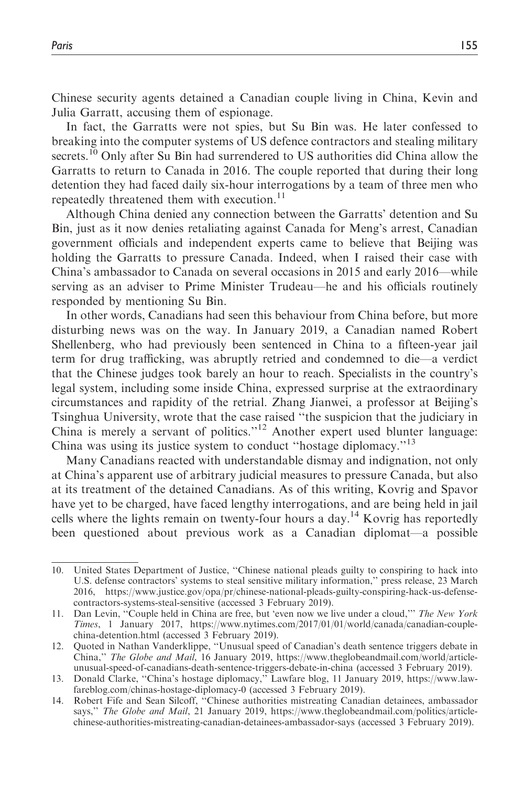Chinese security agents detained a Canadian couple living in China, Kevin and Julia Garratt, accusing them of espionage.

In fact, the Garratts were not spies, but Su Bin was. He later confessed to breaking into the computer systems of US defence contractors and stealing military secrets.<sup>10</sup> Only after Su Bin had surrendered to US authorities did China allow the Garratts to return to Canada in 2016. The couple reported that during their long detention they had faced daily six-hour interrogations by a team of three men who repeatedly threatened them with execution.<sup>11</sup>

Although China denied any connection between the Garratts' detention and Su Bin, just as it now denies retaliating against Canada for Meng's arrest, Canadian government officials and independent experts came to believe that Beijing was holding the Garratts to pressure Canada. Indeed, when I raised their case with China's ambassador to Canada on several occasions in 2015 and early 2016—while serving as an adviser to Prime Minister Trudeau—he and his officials routinely responded by mentioning Su Bin.

In other words, Canadians had seen this behaviour from China before, but more disturbing news was on the way. In January 2019, a Canadian named Robert Shellenberg, who had previously been sentenced in China to a fifteen-year jail term for drug trafficking, was abruptly retried and condemned to die—a verdict that the Chinese judges took barely an hour to reach. Specialists in the country's legal system, including some inside China, expressed surprise at the extraordinary circumstances and rapidity of the retrial. Zhang Jianwei, a professor at Beijing's Tsinghua University, wrote that the case raised ''the suspicion that the judiciary in China is merely a servant of politics.''<sup>12</sup> Another expert used blunter language: China was using its justice system to conduct ''hostage diplomacy.''<sup>13</sup>

Many Canadians reacted with understandable dismay and indignation, not only at China's apparent use of arbitrary judicial measures to pressure Canada, but also at its treatment of the detained Canadians. As of this writing, Kovrig and Spavor have yet to be charged, have faced lengthy interrogations, and are being held in jail cells where the lights remain on twenty-four hours a day.<sup>14</sup> Kovrig has reportedly been questioned about previous work as a Canadian diplomat—a possible

<sup>10.</sup> United States Department of Justice, ''Chinese national pleads guilty to conspiring to hack into U.S. defense contractors' systems to steal sensitive military information,'' press release, 23 March 2016, [https://www.justice.gov/opa/pr/chinese-national-pleads-guilty-conspiring-hack-us-defense](https://www.justice.gov/opa/pr/chinese-national-pleads-guilty-conspiring-hack-us-defense-contractors-systems-steal-sensitive)[contractors-systems-steal-sensitive](https://www.justice.gov/opa/pr/chinese-national-pleads-guilty-conspiring-hack-us-defense-contractors-systems-steal-sensitive) (accessed 3 February 2019).

<sup>11.</sup> Dan Levin, "Couple held in China are free, but 'even now we live under a cloud," The New York Times, 1 January 2017, [https://www.nytimes.com/2017/01/01/world/canada/canadian-couple](https://www.nytimes.com/2017/01/01/world/canada/canadian-couple-china-detention.html)[china-detention.html](https://www.nytimes.com/2017/01/01/world/canada/canadian-couple-china-detention.html) (accessed 3 February 2019).

<sup>12.</sup> Quoted in Nathan Vanderklippe, ''Unusual speed of Canadian's death sentence triggers debate in China,'' The Globe and Mail, 16 January 2019, [https://www.theglobeandmail.com/world/article](https://www.theglobeandmail.com/world/article-unusual-speed-of-canadians-death-sentence-triggers-debate-in-china)[unusual-speed-of-canadians-death-sentence-triggers-debate-in-china](https://www.theglobeandmail.com/world/article-unusual-speed-of-canadians-death-sentence-triggers-debate-in-china) (accessed 3 February 2019).

<sup>13.</sup> Donald Clarke, ''China's hostage diplomacy,'' Lawfare blog, 11 January 2019, [https://www.law](https://www.lawfareblog.com/chinas-hostage-diplomacy-0)[fareblog.com/chinas-hostage-diplomacy-0](https://www.lawfareblog.com/chinas-hostage-diplomacy-0) (accessed 3 February 2019).

<sup>14.</sup> Robert Fife and Sean Silcoff, ''Chinese authorities mistreating Canadian detainees, ambassador says," The Globe and Mail, 21 January 2019, [https://www.theglobeandmail.com/politics/article](https://www.theglobeandmail.com/politics/article-chinese-authorities-mistreating-canadian-detainees-ambassador-says)[chinese-authorities-mistreating-canadian-detainees-ambassador-says](https://www.theglobeandmail.com/politics/article-chinese-authorities-mistreating-canadian-detainees-ambassador-says) (accessed 3 February 2019).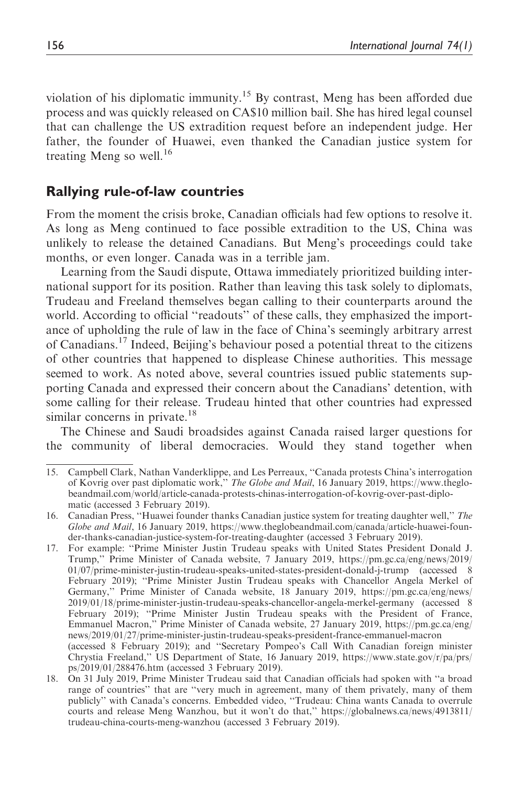violation of his diplomatic immunity.<sup>15</sup> By contrast, Meng has been afforded due process and was quickly released on CA\$10 million bail. She has hired legal counsel that can challenge the US extradition request before an independent judge. Her father, the founder of Huawei, even thanked the Canadian justice system for treating Meng so well. $^{16}$ 

# Rallying rule-of-law countries

From the moment the crisis broke, Canadian officials had few options to resolve it. As long as Meng continued to face possible extradition to the US, China was unlikely to release the detained Canadians. But Meng's proceedings could take months, or even longer. Canada was in a terrible jam.

Learning from the Saudi dispute, Ottawa immediately prioritized building international support for its position. Rather than leaving this task solely to diplomats, Trudeau and Freeland themselves began calling to their counterparts around the world. According to official ''readouts'' of these calls, they emphasized the importance of upholding the rule of law in the face of China's seemingly arbitrary arrest of Canadians.<sup>17</sup> Indeed, Beijing's behaviour posed a potential threat to the citizens of other countries that happened to displease Chinese authorities. This message seemed to work. As noted above, several countries issued public statements supporting Canada and expressed their concern about the Canadians' detention, with some calling for their release. Trudeau hinted that other countries had expressed similar concerns in private. $18$ 

The Chinese and Saudi broadsides against Canada raised larger questions for the community of liberal democracies. Would they stand together when

[ps/2019/01/288476.htm](https://www.state.gov/r/pa/prs/ps/2019/01/288476.htm) (accessed 3 February 2019).

<sup>15.</sup> Campbell Clark, Nathan Vanderklippe, and Les Perreaux, ''Canada protests China's interrogation of Kovrig over past diplomatic work,'' The Globe and Mail, 16 January 2019, [https://www.theglo](https://www.theglobeandmail.com/world/article-canada-protests-chinas-interrogation-of-kovrig-over-past-diplomatic)[beandmail.com/world/article-canada-protests-chinas-interrogation-of-kovrig-over-past-diplo](https://www.theglobeandmail.com/world/article-canada-protests-chinas-interrogation-of-kovrig-over-past-diplomatic)[matic](https://www.theglobeandmail.com/world/article-canada-protests-chinas-interrogation-of-kovrig-over-past-diplomatic) (accessed 3 February 2019).

<sup>16.</sup> Canadian Press, ''Huawei founder thanks Canadian justice system for treating daughter well,'' The Globe and Mail, 16 January 2019, [https://www.theglobeandmail.com/canada/article-huawei-foun](https://www.theglobeandmail.com/canada/article-huawei-founder-thanks-canadian-justice-system-for-treating-daughter)[der-thanks-canadian-justice-system-for-treating-daughter](https://www.theglobeandmail.com/canada/article-huawei-founder-thanks-canadian-justice-system-for-treating-daughter) (accessed 3 February 2019).

<sup>17.</sup> For example: ''Prime Minister Justin Trudeau speaks with United States President Donald J. Trump,'' Prime Minister of Canada website, 7 January 2019, [https://pm.gc.ca/eng/news/2019/](https://pm.gc.ca/eng/news/2019/01/07/prime-minister-justin-trudeau-speaks-united-states-president-donald-j-trump) [01/07/prime-minister-justin-trudeau-speaks-united-states-president-donald-j-trump](https://pm.gc.ca/eng/news/2019/01/07/prime-minister-justin-trudeau-speaks-united-states-president-donald-j-trump) (accessed 8 February 2019); ''Prime Minister Justin Trudeau speaks with Chancellor Angela Merkel of Germany,'' Prime Minister of Canada website, 18 January 2019, [https://pm.gc.ca/eng/news/](https://pm.gc.ca/eng/news/2019/01/18/prime-minister-justin-trudeau-speaks-chancellor-angela-merkel-germany) [2019/01/18/prime-minister-justin-trudeau-speaks-chancellor-angela-merkel-germany](https://pm.gc.ca/eng/news/2019/01/18/prime-minister-justin-trudeau-speaks-chancellor-angela-merkel-germany) (accessed 8 February 2019); ''Prime Minister Justin Trudeau speaks with the President of France, Emmanuel Macron,'' Prime Minister of Canada website, 27 January 2019, [https://pm.gc.ca/eng/](https://pm.gc.ca/eng/news/2019/01/27/prime-minister-justin-trudeau-speaks-president-france-emmanuel-macron) [news/2019/01/27/prime-minister-justin-trudeau-speaks-president-france-emmanuel-macron](https://pm.gc.ca/eng/news/2019/01/27/prime-minister-justin-trudeau-speaks-president-france-emmanuel-macron) (accessed 8 February 2019); and ''Secretary Pompeo's Call With Canadian foreign minister Chrystia Freeland,'' US Department of State, 16 January 2019, [https://www.state.gov/r/pa/prs/](https://www.state.gov/r/pa/prs/ps/2019/01/288476.htm)

<sup>18.</sup> On 31 July 2019, Prime Minister Trudeau said that Canadian officials had spoken with ''a broad range of countries'' that are ''very much in agreement, many of them privately, many of them publicly'' with Canada's concerns. Embedded video, ''Trudeau: China wants Canada to overrule courts and release Meng Wanzhou, but it won't do that,'' [https://globalnews.ca/news/4913811/](https://globalnews.ca/news/4913811/trudeau-china-courts-meng-wanzhou) [trudeau-china-courts-meng-wanzhou](https://globalnews.ca/news/4913811/trudeau-china-courts-meng-wanzhou) (accessed 3 February 2019).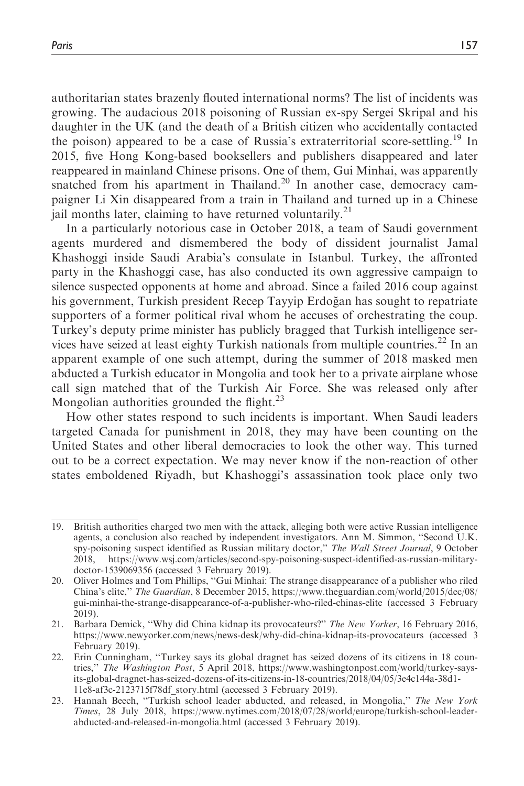authoritarian states brazenly flouted international norms? The list of incidents was growing. The audacious 2018 poisoning of Russian ex-spy Sergei Skripal and his daughter in the UK (and the death of a British citizen who accidentally contacted the poison) appeared to be a case of Russia's extraterritorial score-settling.<sup>19</sup> In 2015, five Hong Kong-based booksellers and publishers disappeared and later reappeared in mainland Chinese prisons. One of them, Gui Minhai, was apparently snatched from his apartment in Thailand.<sup>20</sup> In another case, democracy campaigner Li Xin disappeared from a train in Thailand and turned up in a Chinese jail months later, claiming to have returned voluntarily.<sup>21</sup>

In a particularly notorious case in October 2018, a team of Saudi government agents murdered and dismembered the body of dissident journalist Jamal Khashoggi inside Saudi Arabia's consulate in Istanbul. Turkey, the affronted party in the Khashoggi case, has also conducted its own aggressive campaign to silence suspected opponents at home and abroad. Since a failed 2016 coup against his government, Turkish president Recep Tayyip Erdoğan has sought to repatriate supporters of a former political rival whom he accuses of orchestrating the coup. Turkey's deputy prime minister has publicly bragged that Turkish intelligence services have seized at least eighty Turkish nationals from multiple countries.<sup>22</sup> In an apparent example of one such attempt, during the summer of 2018 masked men abducted a Turkish educator in Mongolia and took her to a private airplane whose call sign matched that of the Turkish Air Force. She was released only after Mongolian authorities grounded the flight. $^{23}$ 

How other states respond to such incidents is important. When Saudi leaders targeted Canada for punishment in 2018, they may have been counting on the United States and other liberal democracies to look the other way. This turned out to be a correct expectation. We may never know if the non-reaction of other states emboldened Riyadh, but Khashoggi's assassination took place only two

<sup>19.</sup> British authorities charged two men with the attack, alleging both were active Russian intelligence agents, a conclusion also reached by independent investigators. Ann M. Simmon, ''Second U.K. spy-poisoning suspect identified as Russian military doctor," The Wall Street Journal, 9 October 2018, [https://www.wsj.com/articles/second-spy-poisoning-suspect-identified-as-russian-military](https://www.wsj.com/articles/second-spy-poisoning-suspect-identified-as-russian-military-doctor-1539069356)[doctor-1539069356](https://www.wsj.com/articles/second-spy-poisoning-suspect-identified-as-russian-military-doctor-1539069356) (accessed 3 February 2019).

<sup>20.</sup> Oliver Holmes and Tom Phillips, ''Gui Minhai: The strange disappearance of a publisher who riled China's elite,'' The Guardian, 8 December 2015, [https://www.theguardian.com/world/2015/dec/08/](https://www.theguardian.com/world/2015/dec/08/gui-minhai-the-strange-disappearance-of-a-publisher-who-riled-chinas-elite) [gui-minhai-the-strange-disappearance-of-a-publisher-who-riled-chinas-elite](https://www.theguardian.com/world/2015/dec/08/gui-minhai-the-strange-disappearance-of-a-publisher-who-riled-chinas-elite) (accessed 3 February 2019).

<sup>21.</sup> Barbara Demick, ''Why did China kidnap its provocateurs?'' The New Yorker, 16 February 2016, <https://www.newyorker.com/news/news-desk/why-did-china-kidnap-its-provocateurs> (accessed 3 February 2019).

<sup>22.</sup> Erin Cunningham, ''Turkey says its global dragnet has seized dozens of its citizens in 18 countries,'' The Washington Post, 5 April 2018, [https://www.washingtonpost.com/world/turkey-says](https://www.washingtonpost.com/world/turkey-says-its-global-dragnet-has-seized-dozens-of-its-citizens-in-18-countries/2018/04/05/3e4c144a-38d1-11e8-af3c-2123715f78df_story.html)[its-global-dragnet-has-seized-dozens-of-its-citizens-in-18-countries/2018/04/05/3e4c144a-38d1-](https://www.washingtonpost.com/world/turkey-says-its-global-dragnet-has-seized-dozens-of-its-citizens-in-18-countries/2018/04/05/3e4c144a-38d1-11e8-af3c-2123715f78df_story.html) [11e8-af3c-2123715f78df\\_story.html](https://www.washingtonpost.com/world/turkey-says-its-global-dragnet-has-seized-dozens-of-its-citizens-in-18-countries/2018/04/05/3e4c144a-38d1-11e8-af3c-2123715f78df_story.html) (accessed 3 February 2019).

<sup>23.</sup> Hannah Beech, "Turkish school leader abducted, and released, in Mongolia," The New York Times, 28 July 2018, [https://www.nytimes.com/2018/07/28/world/europe/turkish-school-leader](https://www.nytimes.com/2018/07/28/world/europe/turkish-school-leader-abducted-and-released-in-mongolia.html)[abducted-and-released-in-mongolia.html](https://www.nytimes.com/2018/07/28/world/europe/turkish-school-leader-abducted-and-released-in-mongolia.html) (accessed 3 February 2019).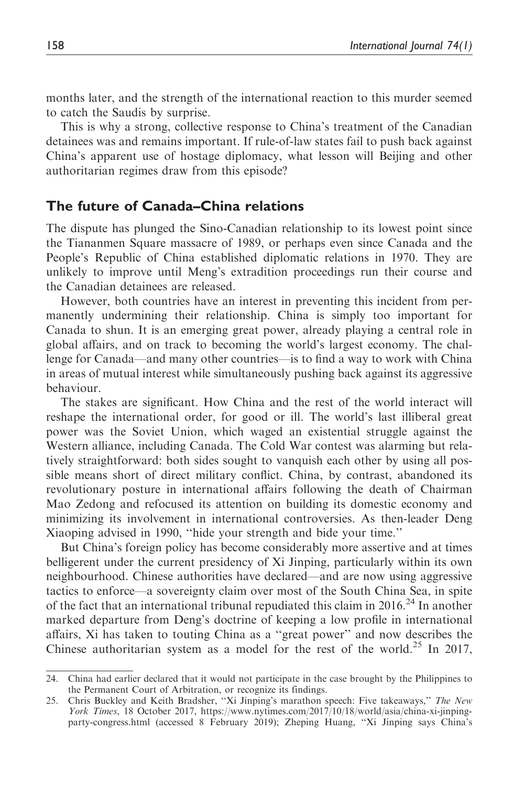months later, and the strength of the international reaction to this murder seemed to catch the Saudis by surprise.

This is why a strong, collective response to China's treatment of the Canadian detainees was and remains important. If rule-of-law states fail to push back against China's apparent use of hostage diplomacy, what lesson will Beijing and other authoritarian regimes draw from this episode?

#### The future of Canada–China relations

The dispute has plunged the Sino-Canadian relationship to its lowest point since the Tiananmen Square massacre of 1989, or perhaps even since Canada and the People's Republic of China established diplomatic relations in 1970. They are unlikely to improve until Meng's extradition proceedings run their course and the Canadian detainees are released.

However, both countries have an interest in preventing this incident from permanently undermining their relationship. China is simply too important for Canada to shun. It is an emerging great power, already playing a central role in global affairs, and on track to becoming the world's largest economy. The challenge for Canada—and many other countries—is to find a way to work with China in areas of mutual interest while simultaneously pushing back against its aggressive behaviour.

The stakes are significant. How China and the rest of the world interact will reshape the international order, for good or ill. The world's last illiberal great power was the Soviet Union, which waged an existential struggle against the Western alliance, including Canada. The Cold War contest was alarming but relatively straightforward: both sides sought to vanquish each other by using all possible means short of direct military conflict. China, by contrast, abandoned its revolutionary posture in international affairs following the death of Chairman Mao Zedong and refocused its attention on building its domestic economy and minimizing its involvement in international controversies. As then-leader Deng Xiaoping advised in 1990, ''hide your strength and bide your time.''

But China's foreign policy has become considerably more assertive and at times belligerent under the current presidency of Xi Jinping, particularly within its own neighbourhood. Chinese authorities have declared—and are now using aggressive tactics to enforce—a sovereignty claim over most of the South China Sea, in spite of the fact that an international tribunal repudiated this claim in  $2016.<sup>24</sup>$  In another marked departure from Deng's doctrine of keeping a low profile in international affairs, Xi has taken to touting China as a ''great power'' and now describes the Chinese authoritarian system as a model for the rest of the world.<sup>25</sup> In 2017,

<sup>24.</sup> China had earlier declared that it would not participate in the case brought by the Philippines to the Permanent Court of Arbitration, or recognize its findings.

<sup>25.</sup> Chris Buckley and Keith Bradsher, ''Xi Jinping's marathon speech: Five takeaways,'' The New York Times, 18 October 2017, [https://www.nytimes.com/2017/10/18/world/asia/china-xi-jinping](https://www.nytimes.com/2017/10/18/world/asia/china-xi-jinping-party-congress.html)[party-congress.html](https://www.nytimes.com/2017/10/18/world/asia/china-xi-jinping-party-congress.html) (accessed 8 February 2019); Zheping Huang, ''Xi Jinping says China's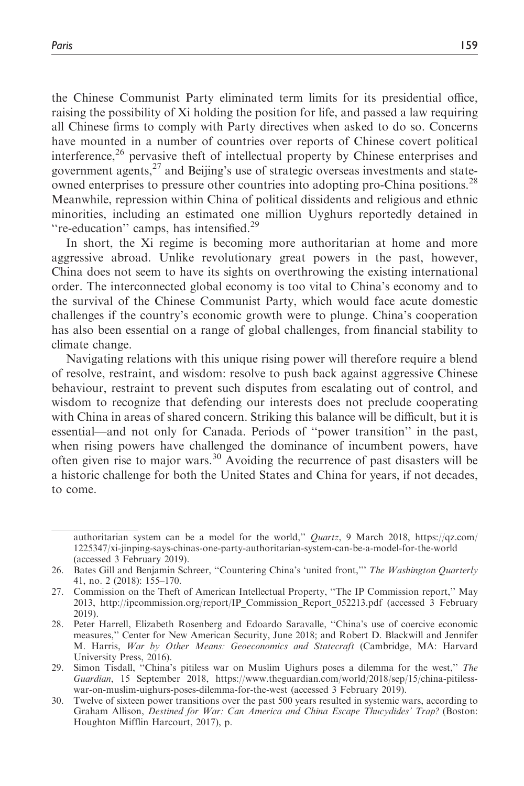the Chinese Communist Party eliminated term limits for its presidential office, raising the possibility of Xi holding the position for life, and passed a law requiring all Chinese firms to comply with Party directives when asked to do so. Concerns have mounted in a number of countries over reports of Chinese covert political interference, $26$  pervasive theft of intellectual property by Chinese enterprises and government agents, $^{27}$  and Beijing's use of strategic overseas investments and stateowned enterprises to pressure other countries into adopting pro-China positions.<sup>28</sup> Meanwhile, repression within China of political dissidents and religious and ethnic minorities, including an estimated one million Uyghurs reportedly detained in "re-education" camps, has intensified.<sup>29</sup>

In short, the Xi regime is becoming more authoritarian at home and more aggressive abroad. Unlike revolutionary great powers in the past, however, China does not seem to have its sights on overthrowing the existing international order. The interconnected global economy is too vital to China's economy and to the survival of the Chinese Communist Party, which would face acute domestic challenges if the country's economic growth were to plunge. China's cooperation has also been essential on a range of global challenges, from financial stability to climate change.

Navigating relations with this unique rising power will therefore require a blend of resolve, restraint, and wisdom: resolve to push back against aggressive Chinese behaviour, restraint to prevent such disputes from escalating out of control, and wisdom to recognize that defending our interests does not preclude cooperating with China in areas of shared concern. Striking this balance will be difficult, but it is essential—and not only for Canada. Periods of ''power transition'' in the past, when rising powers have challenged the dominance of incumbent powers, have often given rise to major wars.<sup>30</sup> Avoiding the recurrence of past disasters will be a historic challenge for both the United States and China for years, if not decades, to come.

authoritarian system can be a model for the world," *Quartz*, 9 March 2018, [https://qz.com/](https://qz.com/1225347/xi-jinping-says-chinas-one-party-authoritarian-system-can-be-a-model-for-the-world) [1225347/xi-jinping-says-chinas-one-party-authoritarian-system-can-be-a-model-for-the-world](https://qz.com/1225347/xi-jinping-says-chinas-one-party-authoritarian-system-can-be-a-model-for-the-world) (accessed 3 February 2019).

<sup>26.</sup> Bates Gill and Benjamin Schreer, "Countering China's 'united front," The Washington Quarterly 41, no. 2 (2018): 155–170.

<sup>27.</sup> Commission on the Theft of American Intellectual Property, ''The IP Commission report,'' May 2013, [http://ipcommission.org/report/IP\\_Commission\\_Report\\_052213.pdf](http://ipcommission.org/report/IP_Commission_Report_052213.pdf) (accessed 3 February 2019).

<sup>28.</sup> Peter Harrell, Elizabeth Rosenberg and Edoardo Saravalle, ''China's use of coercive economic measures,'' Center for New American Security, June 2018; and Robert D. Blackwill and Jennifer M. Harris, War by Other Means: Geoeconomics and Statecraft (Cambridge, MA: Harvard University Press, 2016).

<sup>29.</sup> Simon Tisdall, ''China's pitiless war on Muslim Uighurs poses a dilemma for the west,'' The Guardian, 15 September 2018, [https://www.theguardian.com/world/2018/sep/15/china-pitiless](https://www.theguardian.com/world/2018/sep/15/china-pitiless-war-on-muslim-uighurs-poses-dilemma-for-the-west)[war-on-muslim-uighurs-poses-dilemma-for-the-west](https://www.theguardian.com/world/2018/sep/15/china-pitiless-war-on-muslim-uighurs-poses-dilemma-for-the-west) (accessed 3 February 2019).

<sup>30.</sup> Twelve of sixteen power transitions over the past 500 years resulted in systemic wars, according to Graham Allison, Destined for War: Can America and China Escape Thucydides' Trap? (Boston: Houghton Mifflin Harcourt, 2017), p.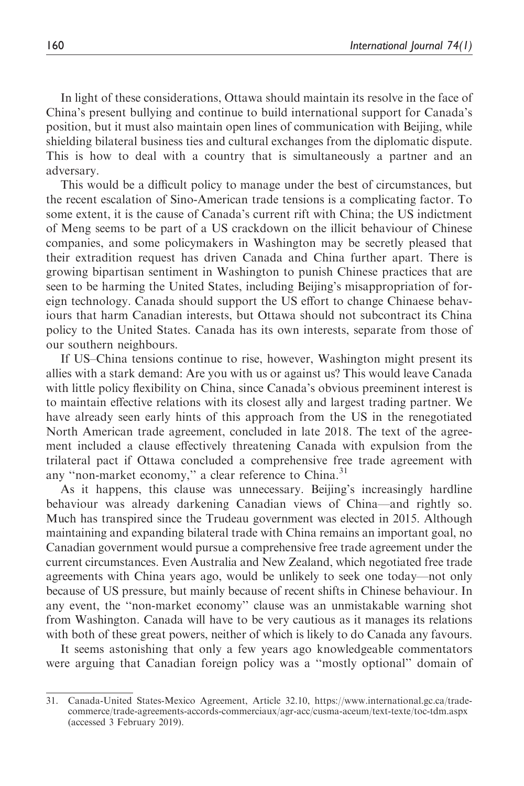In light of these considerations, Ottawa should maintain its resolve in the face of China's present bullying and continue to build international support for Canada's position, but it must also maintain open lines of communication with Beijing, while shielding bilateral business ties and cultural exchanges from the diplomatic dispute. This is how to deal with a country that is simultaneously a partner and an adversary.

This would be a difficult policy to manage under the best of circumstances, but the recent escalation of Sino-American trade tensions is a complicating factor. To some extent, it is the cause of Canada's current rift with China; the US indictment of Meng seems to be part of a US crackdown on the illicit behaviour of Chinese companies, and some policymakers in Washington may be secretly pleased that their extradition request has driven Canada and China further apart. There is growing bipartisan sentiment in Washington to punish Chinese practices that are seen to be harming the United States, including Beijing's misappropriation of foreign technology. Canada should support the US effort to change Chinaese behaviours that harm Canadian interests, but Ottawa should not subcontract its China policy to the United States. Canada has its own interests, separate from those of our southern neighbours.

If US–China tensions continue to rise, however, Washington might present its allies with a stark demand: Are you with us or against us? This would leave Canada with little policy flexibility on China, since Canada's obvious preeminent interest is to maintain effective relations with its closest ally and largest trading partner. We have already seen early hints of this approach from the US in the renegotiated North American trade agreement, concluded in late 2018. The text of the agreement included a clause effectively threatening Canada with expulsion from the trilateral pact if Ottawa concluded a comprehensive free trade agreement with any "non-market economy," a clear reference to China.<sup>31</sup>

As it happens, this clause was unnecessary. Beijing's increasingly hardline behaviour was already darkening Canadian views of China—and rightly so. Much has transpired since the Trudeau government was elected in 2015. Although maintaining and expanding bilateral trade with China remains an important goal, no Canadian government would pursue a comprehensive free trade agreement under the current circumstances. Even Australia and New Zealand, which negotiated free trade agreements with China years ago, would be unlikely to seek one today—not only because of US pressure, but mainly because of recent shifts in Chinese behaviour. In any event, the ''non-market economy'' clause was an unmistakable warning shot from Washington. Canada will have to be very cautious as it manages its relations with both of these great powers, neither of which is likely to do Canada any favours.

It seems astonishing that only a few years ago knowledgeable commentators were arguing that Canadian foreign policy was a ''mostly optional'' domain of

<sup>31.</sup> Canada-United States-Mexico Agreement, Article 32.10, [https://www.international.gc.ca/trade](https://www.international.gc.ca/trade-commerce/trade-agreements-accords-commerciaux/agr-acc/cusma-aceum/text-texte/toc-tdm.aspx)[commerce/trade-agreements-accords-commerciaux/agr-acc/cusma-aceum/text-texte/toc-tdm.aspx](https://www.international.gc.ca/trade-commerce/trade-agreements-accords-commerciaux/agr-acc/cusma-aceum/text-texte/toc-tdm.aspx) (accessed 3 February 2019).